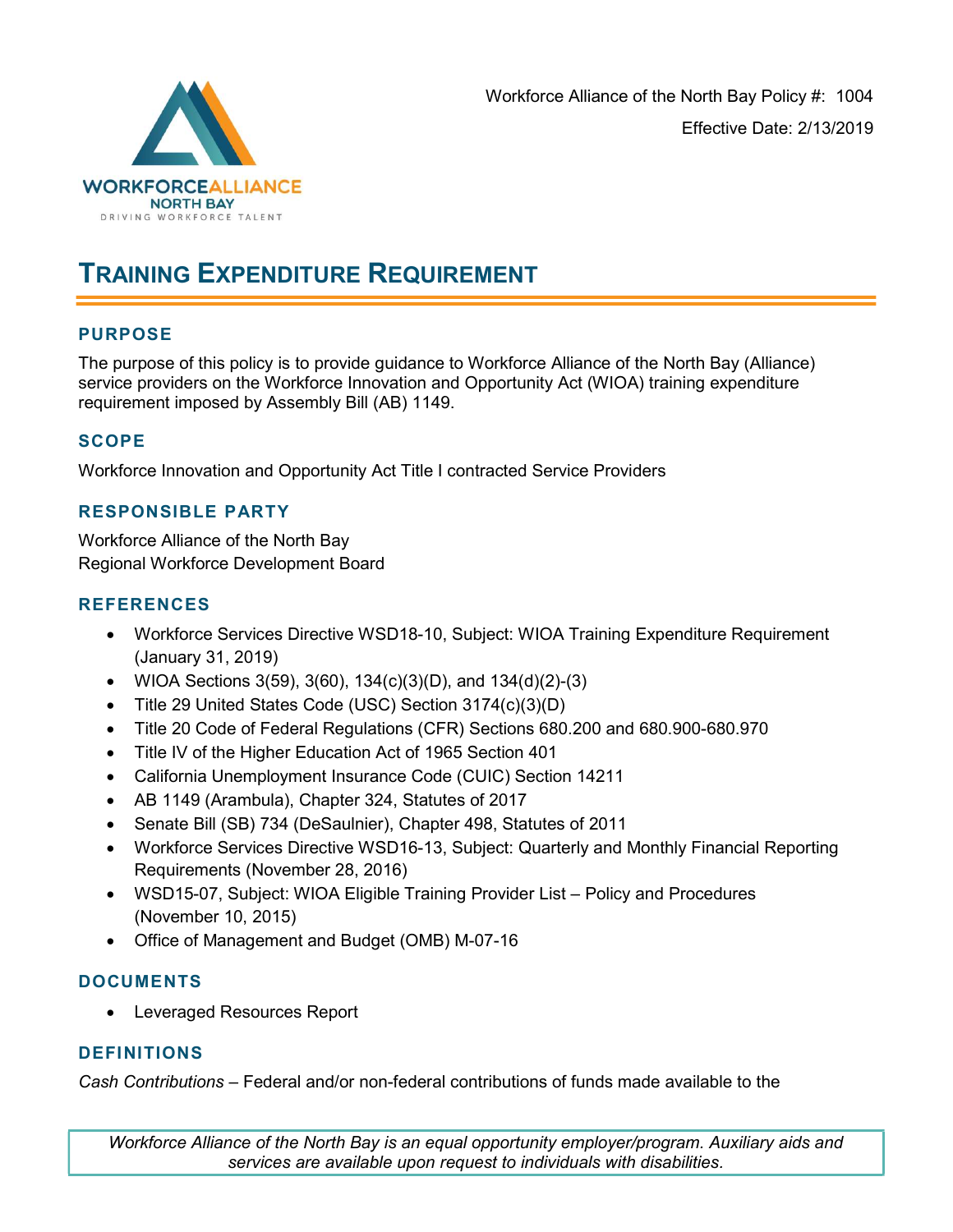

## TRAINING EXPENDITURE REQUIREMENT

### PURPOSE

The purpose of this policy is to provide guidance to Workforce Alliance of the North Bay (Alliance) service providers on the Workforce Innovation and Opportunity Act (WIOA) training expenditure requirement imposed by Assembly Bill (AB) 1149.

### **SCOPE**

Workforce Innovation and Opportunity Act Title I contracted Service Providers

#### RESPONSIBLE PARTY

Workforce Alliance of the North Bay Regional Workforce Development Board

#### **REFERENCES**

- Workforce Services Directive WSD18-10, Subject: WIOA Training Expenditure Requirement (January 31, 2019)
- WIOA Sections 3(59), 3(60), 134(c)(3)(D), and 134(d)(2)-(3)
- Title 29 United States Code (USC) Section 3174(c)(3)(D)
- Title 20 Code of Federal Regulations (CFR) Sections 680.200 and 680.900-680.970
- Title IV of the Higher Education Act of 1965 Section 401
- California Unemployment Insurance Code (CUIC) Section 14211
- AB 1149 (Arambula), Chapter 324, Statutes of 2017
- Senate Bill (SB) 734 (DeSaulnier), Chapter 498, Statutes of 2011
- Workforce Services Directive WSD16-13, Subject: Quarterly and Monthly Financial Reporting Requirements (November 28, 2016)
- WSD15-07, Subject: WIOA Eligible Training Provider List Policy and Procedures (November 10, 2015)
- Office of Management and Budget (OMB) M-07-16

#### DOCUMENTS

Leveraged Resources Report

#### **DEFINITIONS**

Cash Contributions – Federal and/or non-federal contributions of funds made available to the

Workforce Alliance of the North Bay is an equal opportunity employer/program. Auxiliary aids and services are available upon request to individuals with disabilities.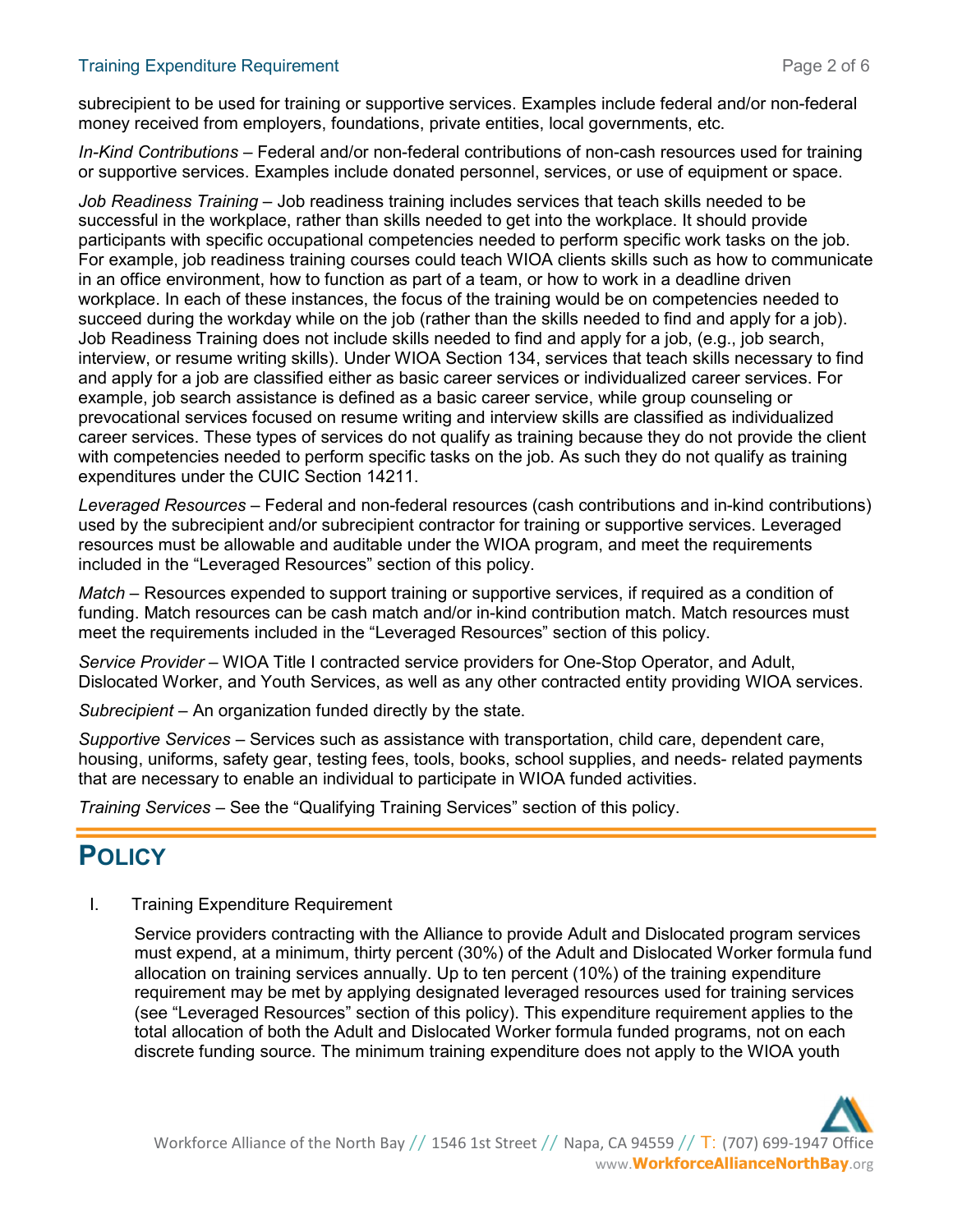#### Training Expenditure Requirement **Page 2 of 6** and 2 of 6

subrecipient to be used for training or supportive services. Examples include federal and/or non-federal money received from employers, foundations, private entities, local governments, etc.

In-Kind Contributions – Federal and/or non-federal contributions of non-cash resources used for training or supportive services. Examples include donated personnel, services, or use of equipment or space.

Job Readiness Training – Job readiness training includes services that teach skills needed to be successful in the workplace, rather than skills needed to get into the workplace. It should provide participants with specific occupational competencies needed to perform specific work tasks on the job. For example, job readiness training courses could teach WIOA clients skills such as how to communicate in an office environment, how to function as part of a team, or how to work in a deadline driven workplace. In each of these instances, the focus of the training would be on competencies needed to succeed during the workday while on the job (rather than the skills needed to find and apply for a job). Job Readiness Training does not include skills needed to find and apply for a job, (e.g., job search, interview, or resume writing skills). Under WIOA Section 134, services that teach skills necessary to find and apply for a job are classified either as basic career services or individualized career services. For example, job search assistance is defined as a basic career service, while group counseling or prevocational services focused on resume writing and interview skills are classified as individualized career services. These types of services do not qualify as training because they do not provide the client with competencies needed to perform specific tasks on the job. As such they do not qualify as training expenditures under the CUIC Section 14211.

Leveraged Resources – Federal and non-federal resources (cash contributions and in-kind contributions) used by the subrecipient and/or subrecipient contractor for training or supportive services. Leveraged resources must be allowable and auditable under the WIOA program, and meet the requirements included in the "Leveraged Resources" section of this policy.

Match – Resources expended to support training or supportive services, if required as a condition of funding. Match resources can be cash match and/or in-kind contribution match. Match resources must meet the requirements included in the "Leveraged Resources" section of this policy.

Service Provider – WIOA Title I contracted service providers for One-Stop Operator, and Adult, Dislocated Worker, and Youth Services, as well as any other contracted entity providing WIOA services.

Subrecipient – An organization funded directly by the state.

Supportive Services – Services such as assistance with transportation, child care, dependent care, housing, uniforms, safety gear, testing fees, tools, books, school supplies, and needs- related payments that are necessary to enable an individual to participate in WIOA funded activities.

Training Services – See the "Qualifying Training Services" section of this policy.

# **POLICY**

I. Training Expenditure Requirement

Service providers contracting with the Alliance to provide Adult and Dislocated program services must expend, at a minimum, thirty percent (30%) of the Adult and Dislocated Worker formula fund allocation on training services annually. Up to ten percent (10%) of the training expenditure requirement may be met by applying designated leveraged resources used for training services (see "Leveraged Resources" section of this policy). This expenditure requirement applies to the total allocation of both the Adult and Dislocated Worker formula funded programs, not on each discrete funding source. The minimum training expenditure does not apply to the WIOA youth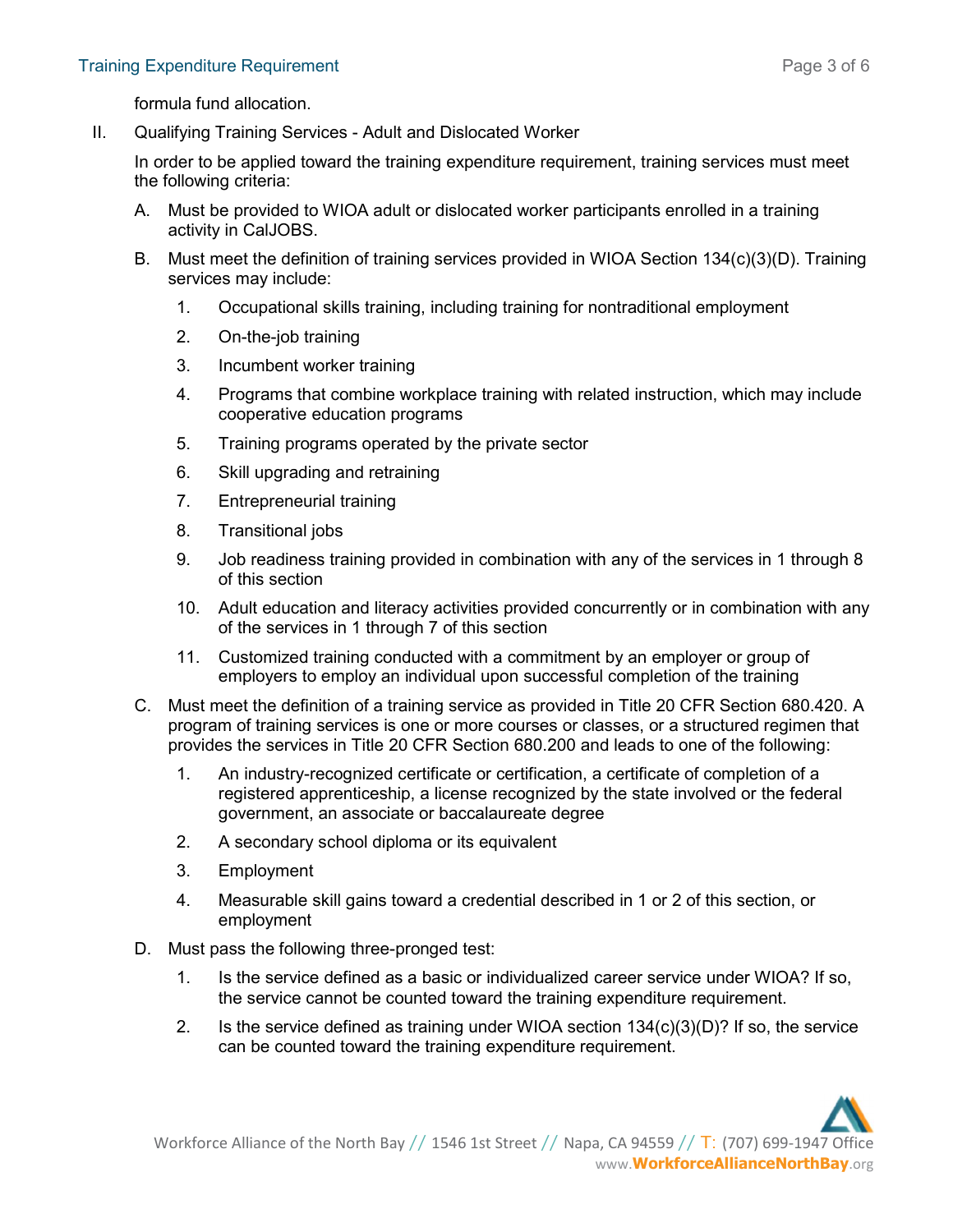formula fund allocation.

II. Qualifying Training Services - Adult and Dislocated Worker

In order to be applied toward the training expenditure requirement, training services must meet the following criteria:

- A. Must be provided to WIOA adult or dislocated worker participants enrolled in a training activity in CalJOBS.
- B. Must meet the definition of training services provided in WIOA Section 134(c)(3)(D). Training services may include:
	- 1. Occupational skills training, including training for nontraditional employment
	- 2. On-the-job training
	- 3. Incumbent worker training
	- 4. Programs that combine workplace training with related instruction, which may include cooperative education programs
	- 5. Training programs operated by the private sector
	- 6. Skill upgrading and retraining
	- 7. Entrepreneurial training
	- 8. Transitional jobs
	- 9. Job readiness training provided in combination with any of the services in 1 through 8 of this section
	- 10. Adult education and literacy activities provided concurrently or in combination with any of the services in 1 through 7 of this section
	- 11. Customized training conducted with a commitment by an employer or group of employers to employ an individual upon successful completion of the training
- C. Must meet the definition of a training service as provided in Title 20 CFR Section 680.420. A program of training services is one or more courses or classes, or a structured regimen that provides the services in Title 20 CFR Section 680.200 and leads to one of the following:
	- 1. An industry-recognized certificate or certification, a certificate of completion of a registered apprenticeship, a license recognized by the state involved or the federal government, an associate or baccalaureate degree
	- 2. A secondary school diploma or its equivalent
	- 3. Employment
	- 4. Measurable skill gains toward a credential described in 1 or 2 of this section, or employment
- D. Must pass the following three-pronged test:
	- 1. Is the service defined as a basic or individualized career service under WIOA? If so, the service cannot be counted toward the training expenditure requirement.
	- 2. Is the service defined as training under WIOA section 134(c)(3)(D)? If so, the service can be counted toward the training expenditure requirement.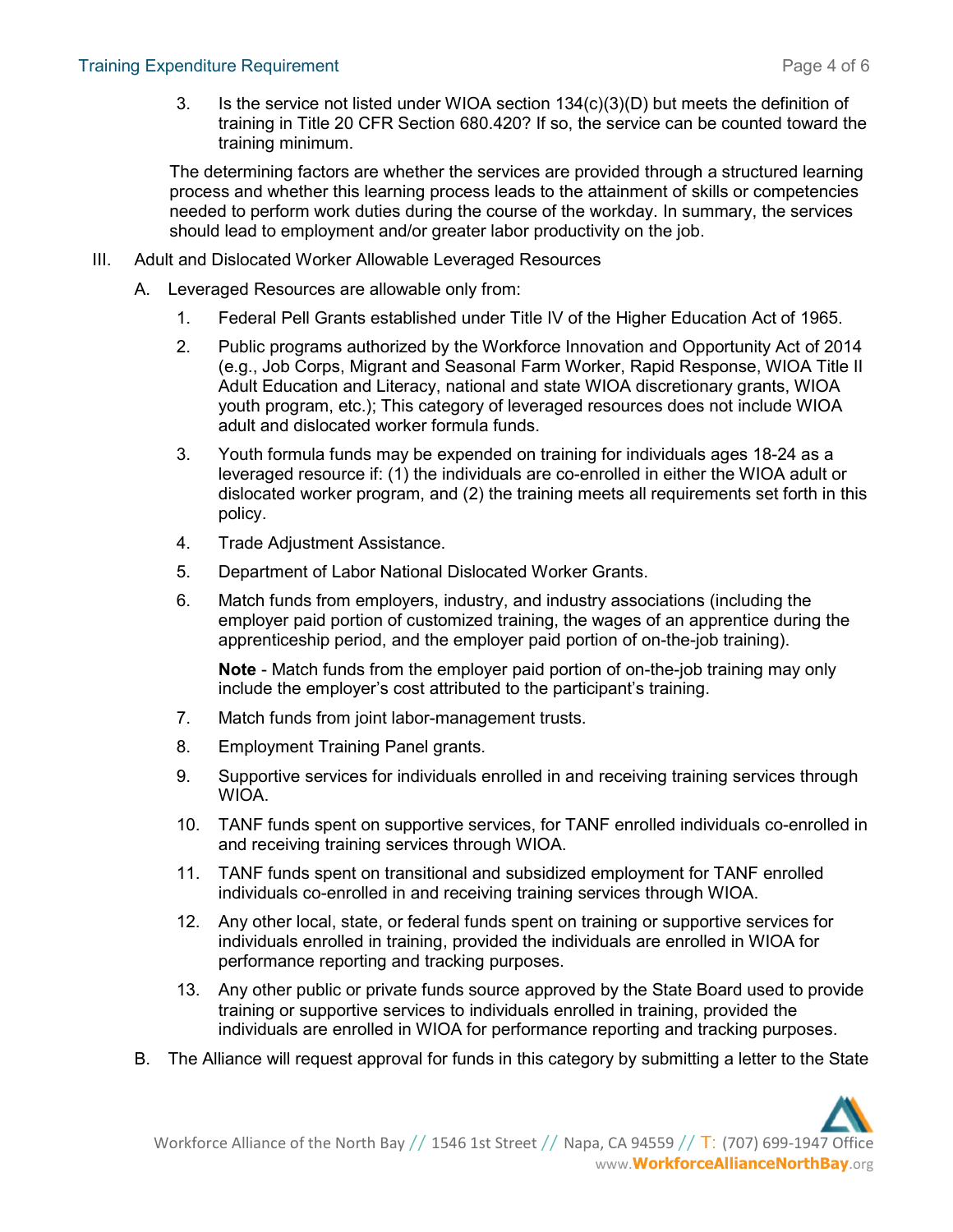3. Is the service not listed under WIOA section 134(c)(3)(D) but meets the definition of training in Title 20 CFR Section 680.420? If so, the service can be counted toward the training minimum.

The determining factors are whether the services are provided through a structured learning process and whether this learning process leads to the attainment of skills or competencies needed to perform work duties during the course of the workday. In summary, the services should lead to employment and/or greater labor productivity on the job.

- III. Adult and Dislocated Worker Allowable Leveraged Resources
	- A. Leveraged Resources are allowable only from:
		- 1. Federal Pell Grants established under Title IV of the Higher Education Act of 1965.
		- 2. Public programs authorized by the Workforce Innovation and Opportunity Act of 2014 (e.g., Job Corps, Migrant and Seasonal Farm Worker, Rapid Response, WIOA Title II Adult Education and Literacy, national and state WIOA discretionary grants, WIOA youth program, etc.); This category of leveraged resources does not include WIOA adult and dislocated worker formula funds.
		- 3. Youth formula funds may be expended on training for individuals ages 18-24 as a leveraged resource if: (1) the individuals are co-enrolled in either the WIOA adult or dislocated worker program, and (2) the training meets all requirements set forth in this policy.
		- 4. Trade Adjustment Assistance.
		- 5. Department of Labor National Dislocated Worker Grants.
		- 6. Match funds from employers, industry, and industry associations (including the employer paid portion of customized training, the wages of an apprentice during the apprenticeship period, and the employer paid portion of on-the-job training).

Note - Match funds from the employer paid portion of on-the-job training may only include the employer's cost attributed to the participant's training.

- 7. Match funds from joint labor-management trusts.
- 8. Employment Training Panel grants.
- 9. Supportive services for individuals enrolled in and receiving training services through WIOA.
- 10. TANF funds spent on supportive services, for TANF enrolled individuals co-enrolled in and receiving training services through WIOA.
- 11. TANF funds spent on transitional and subsidized employment for TANF enrolled individuals co-enrolled in and receiving training services through WIOA.
- 12. Any other local, state, or federal funds spent on training or supportive services for individuals enrolled in training, provided the individuals are enrolled in WIOA for performance reporting and tracking purposes.
- 13. Any other public or private funds source approved by the State Board used to provide training or supportive services to individuals enrolled in training, provided the individuals are enrolled in WIOA for performance reporting and tracking purposes.
- B. The Alliance will request approval for funds in this category by submitting a letter to the State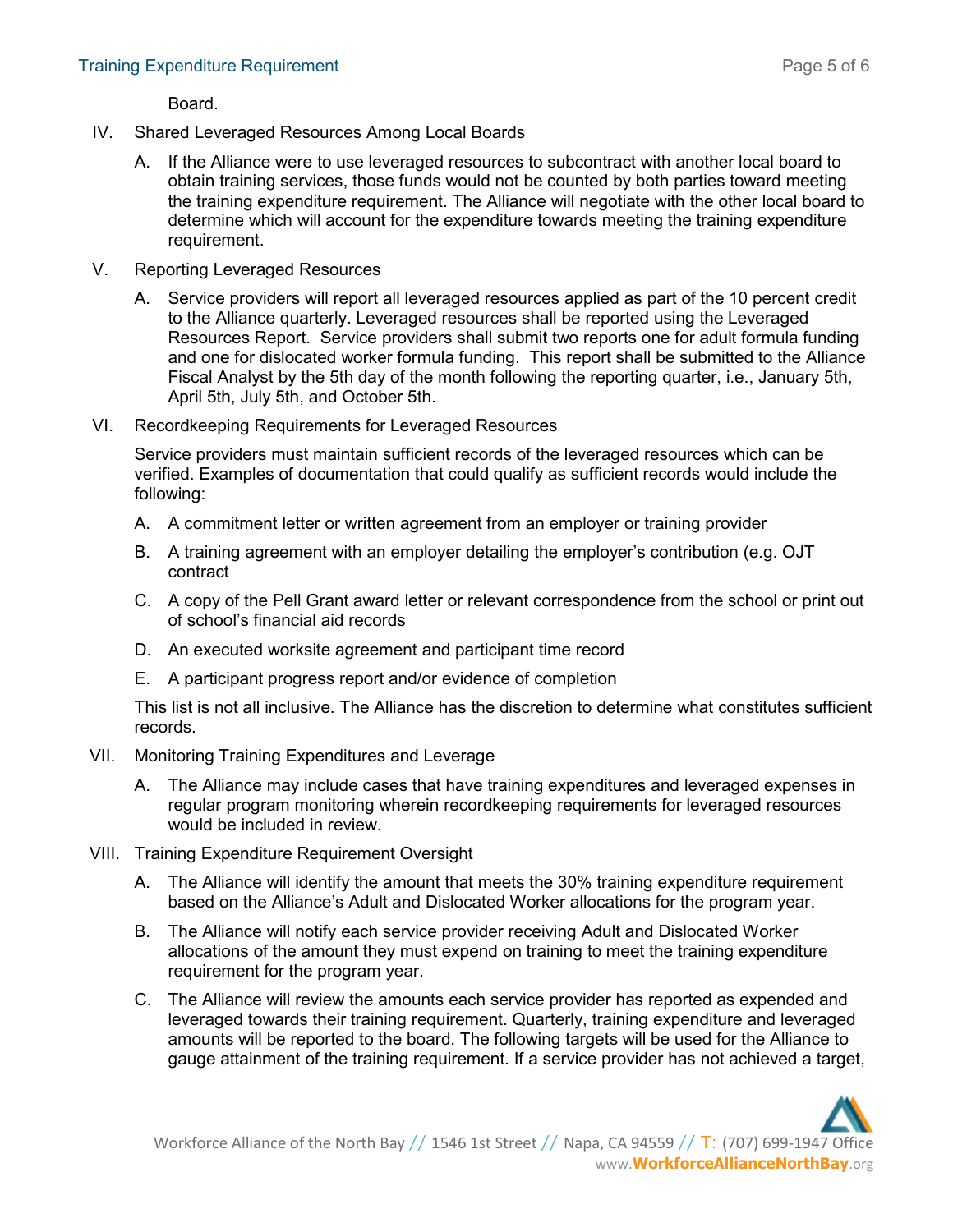Board.

- IV. Shared Leveraged Resources Among Local Boards
	- A. If the Alliance were to use leveraged resources to subcontract with another local board to obtain training services, those funds would not be counted by both parties toward meeting the training expenditure requirement. The Alliance will negotiate with the other local board to determine which will account for the expenditure towards meeting the training expenditure requirement.
- V. Reporting Leveraged Resources
	- A. Service providers will report all leveraged resources applied as part of the 10 percent credit to the Alliance quarterly. Leveraged resources shall be reported using the Leveraged Resources Report. Service providers shall submit two reports one for adult formula funding and one for dislocated worker formula funding. This report shall be submitted to the Alliance Fiscal Analyst by the 5th day of the month following the reporting quarter, i.e., January 5th, April 5th, July 5th, and October 5th.
- VI. Recordkeeping Requirements for Leveraged Resources

Service providers must maintain sufficient records of the leveraged resources which can be verified. Examples of documentation that could qualify as sufficient records would include the following:

- A. A commitment letter or written agreement from an employer or training provider
- B. A training agreement with an employer detailing the employer's contribution (e.g. OJT contract
- C. A copy of the Pell Grant award letter or relevant correspondence from the school or print out of school's financial aid records
- D. An executed worksite agreement and participant time record
- E. A participant progress report and/or evidence of completion

This list is not all inclusive. The Alliance has the discretion to determine what constitutes sufficient records.

- VII. Monitoring Training Expenditures and Leverage
	- A. The Alliance may include cases that have training expenditures and leveraged expenses in regular program monitoring wherein recordkeeping requirements for leveraged resources would be included in review.
- VIII. Training Expenditure Requirement Oversight
	- A. The Alliance will identify the amount that meets the 30% training expenditure requirement based on the Alliance's Adult and Dislocated Worker allocations for the program year.
	- B. The Alliance will notify each service provider receiving Adult and Dislocated Worker allocations of the amount they must expend on training to meet the training expenditure requirement for the program year.
	- C. The Alliance will review the amounts each service provider has reported as expended and leveraged towards their training requirement. Quarterly, training expenditure and leveraged amounts will be reported to the board. The following targets will be used for the Alliance to gauge attainment of the training requirement. If a service provider has not achieved a target,